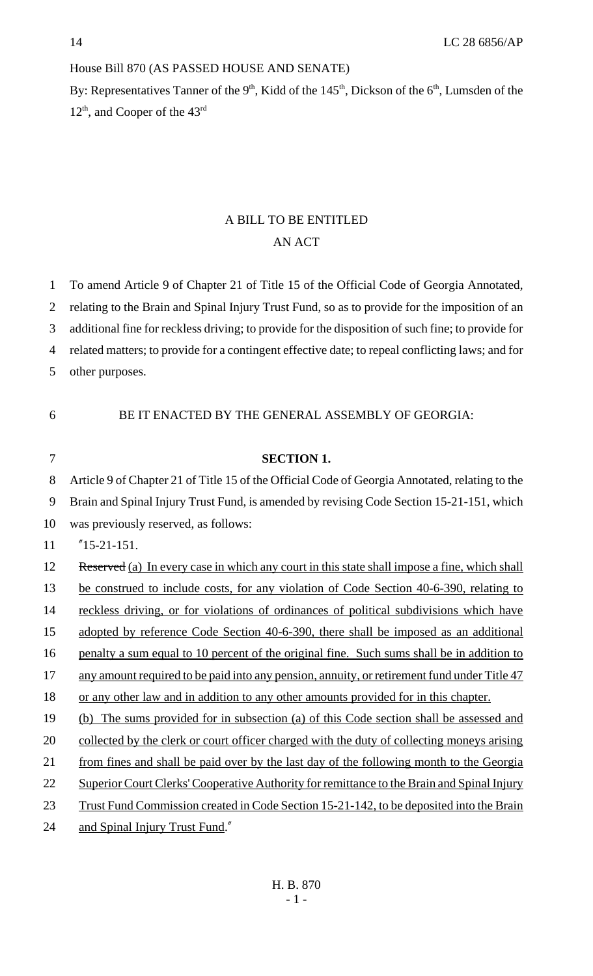#### House Bill 870 (AS PASSED HOUSE AND SENATE)

By: Representatives Tanner of the  $9<sup>th</sup>$ , Kidd of the  $145<sup>th</sup>$ , Dickson of the  $6<sup>th</sup>$ , Lumsden of the  $12<sup>th</sup>$ , and Cooper of the  $43<sup>rd</sup>$ 

# A BILL TO BE ENTITLED AN ACT

1 To amend Article 9 of Chapter 21 of Title 15 of the Official Code of Georgia Annotated,

2 relating to the Brain and Spinal Injury Trust Fund, so as to provide for the imposition of an

3 additional fine for reckless driving; to provide for the disposition of such fine; to provide for

4 related matters; to provide for a contingent effective date; to repeal conflicting laws; and for

5 other purposes.

6 BE IT ENACTED BY THE GENERAL ASSEMBLY OF GEORGIA:

## 7 **SECTION 1.**

8 Article 9 of Chapter 21 of Title 15 of the Official Code of Georgia Annotated, relating to the

9 Brain and Spinal Injury Trust Fund, is amended by revising Code Section 15-21-151, which

10 was previously reserved, as follows:

11 "15-21-151.

12 Reserved (a) In every case in which any court in this state shall impose a fine, which shall

13 be construed to include costs, for any violation of Code Section 40-6-390, relating to

14 reckless driving, or for violations of ordinances of political subdivisions which have

15 adopted by reference Code Section 40-6-390, there shall be imposed as an additional

16 penalty a sum equal to 10 percent of the original fine. Such sums shall be in addition to

17 any amount required to be paid into any pension, annuity, or retirement fund under Title 47

18 or any other law and in addition to any other amounts provided for in this chapter.

19 (b) The sums provided for in subsection (a) of this Code section shall be assessed and

20 collected by the clerk or court officer charged with the duty of collecting moneys arising

21 from fines and shall be paid over by the last day of the following month to the Georgia

22 Superior Court Clerks' Cooperative Authority for remittance to the Brain and Spinal Injury

23 Trust Fund Commission created in Code Section 15-21-142, to be deposited into the Brain

24 and Spinal Injury Trust Fund."